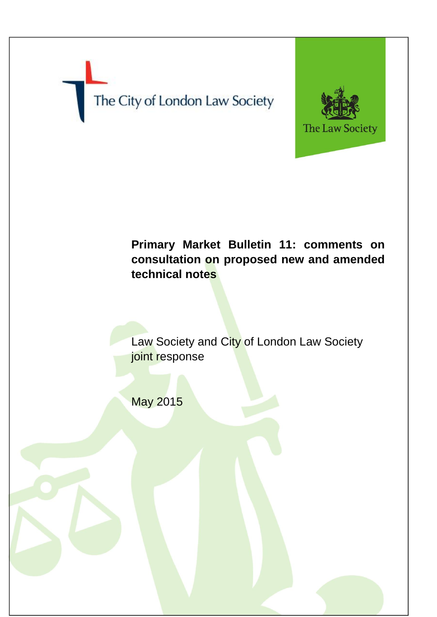



# **Primary Market Bulletin 11: comments on consultation on proposed new and amended technical notes**

Law Society and City of London Law Society joint response

May 2015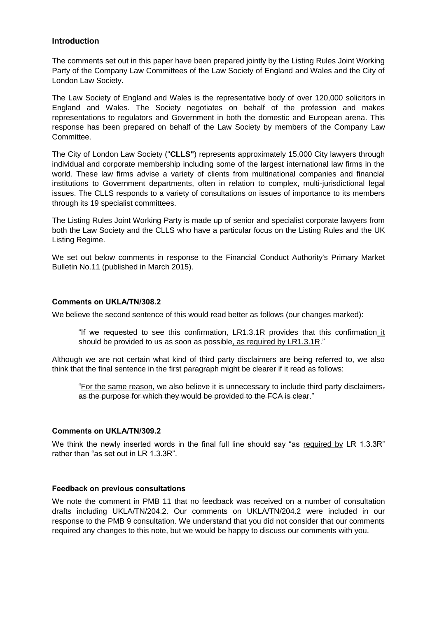## **Introduction**

The comments set out in this paper have been prepared jointly by the Listing Rules Joint Working Party of the Company Law Committees of the Law Society of England and Wales and the City of London Law Society.

The Law Society of England and Wales is the representative body of over 120,000 solicitors in England and Wales. The Society negotiates on behalf of the profession and makes representations to regulators and Government in both the domestic and European arena. This response has been prepared on behalf of the Law Society by members of the Company Law Committee.

The City of London Law Society ("**CLLS"**) represents approximately 15,000 City lawyers through individual and corporate membership including some of the largest international law firms in the world. These law firms advise a variety of clients from multinational companies and financial institutions to Government departments, often in relation to complex, multi-jurisdictional legal issues. The CLLS responds to a variety of consultations on issues of importance to its members through its 19 specialist committees.

The Listing Rules Joint Working Party is made up of senior and specialist corporate lawyers from both the Law Society and the CLLS who have a particular focus on the Listing Rules and the UK Listing Regime.

We set out below comments in response to the Financial Conduct Authority's Primary Market Bulletin No.11 (published in March 2015).

## **Comments on UKLA/TN/308.2**

We believe the second sentence of this would read better as follows (our changes marked):

"If we requested to see this confirmation, LR1.3.1R provides that this confirmation it should be provided to us as soon as possible, as required by LR1.3.1R."

Although we are not certain what kind of third party disclaimers are being referred to, we also think that the final sentence in the first paragraph might be clearer if it read as follows:

"For the same reason, we also believe it is unnecessary to include third party disclaimers, as the purpose for which they would be provided to the FCA is clear."

#### **Comments on UKLA/TN/309.2**

We think the newly inserted words in the final full line should say "as required by LR 1.3.3R" rather than "as set out in LR 1.3.3R".

#### **Feedback on previous consultations**

We note the comment in PMB 11 that no feedback was received on a number of consultation drafts including UKLA/TN/204.2. Our comments on UKLA/TN/204.2 were included in our response to the PMB 9 consultation. We understand that you did not consider that our comments required any changes to this note, but we would be happy to discuss our comments with you.